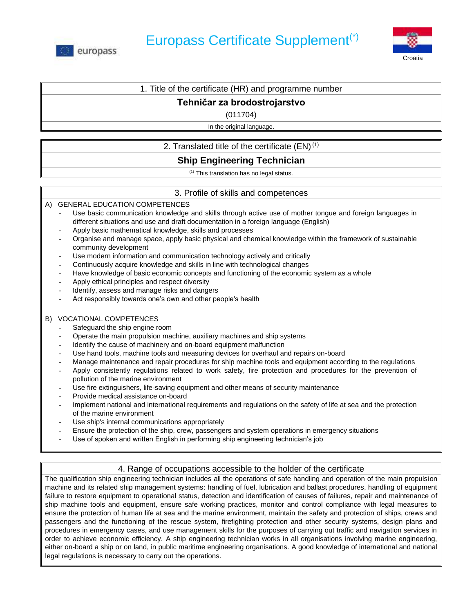



### 1. Title of the certificate (HR) and programme number

## **Tehničar za brodostrojarstvo**

(011704)

In the original language.

# 2. Translated title of the certificate  $(EN)^{(1)}$

# **Ship Engineering Technician**

(1) This translation has no legal status.

## 3. Profile of skills and competences

A) GENERAL EDUCATION COMPETENCES

- Use basic communication knowledge and skills through active use of mother tongue and foreign languages in different situations and use and draft documentation in a foreign language (English)
- Apply basic mathematical knowledge, skills and processes
- Organise and manage space, apply basic physical and chemical knowledge within the framework of sustainable community development
- Use modern information and communication technology actively and critically
- Continuously acquire knowledge and skills in line with technological changes
- Have knowledge of basic economic concepts and functioning of the economic system as a whole
- Apply ethical principles and respect diversity
- Identify, assess and manage risks and dangers
- Act responsibly towards one's own and other people's health

### B) VOCATIONAL COMPETENCES

- Safeguard the ship engine room
- Operate the main propulsion machine, auxiliary machines and ship systems
- Identify the cause of machinery and on-board equipment malfunction
- Use hand tools, machine tools and measuring devices for overhaul and repairs on-board
- Manage maintenance and repair procedures for ship machine tools and equipment according to the regulations
- Apply consistently regulations related to work safety, fire protection and procedures for the prevention of pollution of the marine environment
- Use fire extinguishers, life-saving equipment and other means of security maintenance
- Provide medical assistance on-board
- Implement national and international requirements and regulations on the safety of life at sea and the protection of the marine environment
- Use ship's internal communications appropriately
- Ensure the protection of the ship, crew, passengers and system operations in emergency situations
- Use of spoken and written English in performing ship engineering technician's job

## 4. Range of occupations accessible to the holder of the certificate

The qualification ship engineering technician includes all the operations of safe handling and operation of the main propulsion machine and its related ship management systems: handling of fuel, lubrication and ballast procedures, handling of equipment failure to restore equipment to operational status, detection and identification of causes of failures, repair and maintenance of ship machine tools and equipment, ensure safe working practices, monitor and control compliance with legal measures to ensure the protection of human life at sea and the marine environment, maintain the safety and protection of ships, crews and passengers and the functioning of the rescue system, firefighting protection and other security systems, design plans and procedures in emergency cases, and use management skills for the purposes of carrying out traffic and navigation services in order to achieve economic efficiency. A ship engineering technician works in all organisations involving marine engineering, either on-board a ship or on land, in public maritime engineering organisations. A good knowledge of international and national legal regulations is necessary to carry out the operations.